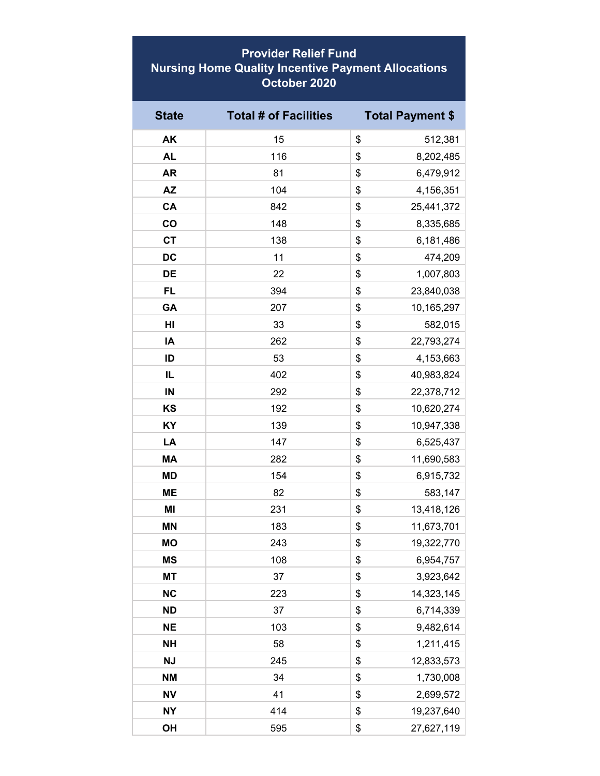## **Provider Relief Fund Nursing Home Quality Incentive Payment Allocations October 2020**

| <b>State</b> | <b>Total # of Facilities</b> | <b>Total Payment \$</b> |
|--------------|------------------------------|-------------------------|
| AK           | 15                           | \$<br>512,381           |
| <b>AL</b>    | 116                          | \$<br>8,202,485         |
| <b>AR</b>    | 81                           | \$<br>6,479,912         |
| <b>AZ</b>    | 104                          | \$<br>4,156,351         |
| CA           | 842                          | \$<br>25,441,372        |
| co           | 148                          | \$<br>8,335,685         |
| <b>CT</b>    | 138                          | \$<br>6,181,486         |
| <b>DC</b>    | 11                           | \$<br>474,209           |
| DE           | 22                           | \$<br>1,007,803         |
| <b>FL</b>    | 394                          | \$<br>23,840,038        |
| GA           | 207                          | \$<br>10,165,297        |
| HI           | 33                           | \$<br>582,015           |
| IA           | 262                          | \$<br>22,793,274        |
| ID           | 53                           | \$<br>4,153,663         |
| IL           | 402                          | \$<br>40,983,824        |
| IN           | 292                          | \$<br>22,378,712        |
| KS           | 192                          | \$<br>10,620,274        |
| KY           | 139                          | \$<br>10,947,338        |
| LA           | 147                          | \$<br>6,525,437         |
| <b>MA</b>    | 282                          | \$<br>11,690,583        |
| <b>MD</b>    | 154                          | \$<br>6,915,732         |
| <b>ME</b>    | 82                           | \$<br>583,147           |
| MI           | 231                          | \$<br>13,418,126        |
| <b>MN</b>    | 183                          | \$<br>11,673,701        |
| <b>MO</b>    | 243                          | \$<br>19,322,770        |
| <b>MS</b>    | 108                          | \$<br>6,954,757         |
| <b>MT</b>    | 37                           | \$<br>3,923,642         |
| <b>NC</b>    | 223                          | 14,323,145<br>\$        |
| <b>ND</b>    | 37                           | \$<br>6,714,339         |
| <b>NE</b>    | 103                          | 9,482,614<br>\$         |
| <b>NH</b>    | 58                           | \$<br>1,211,415         |
| <b>NJ</b>    | 245                          | \$<br>12,833,573        |
| <b>NM</b>    | 34                           | \$<br>1,730,008         |
| <b>NV</b>    | 41                           | \$<br>2,699,572         |
| <b>NY</b>    | 414                          | \$<br>19,237,640        |
| OH           | 595                          | \$<br>27,627,119        |